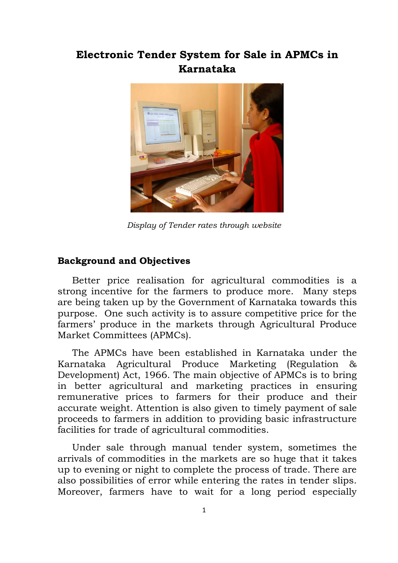## **Electronic Tender System for Sale in APMCs in Karnataka**



*Display of Tender rates through website*

## **Background and Objectives**

Better price realisation for agricultural commodities is a strong incentive for the farmers to produce more. Many steps are being taken up by the Government of Karnataka towards this purpose. One such activity is to assure competitive price for the farmers' produce in the markets through Agricultural Produce Market Committees (APMCs).

The APMCs have been established in Karnataka under the Karnataka Agricultural Produce Marketing (Regulation & Development) Act, 1966. The main objective of APMCs is to bring in better agricultural and marketing practices in ensuring remunerative prices to farmers for their produce and their accurate weight. Attention is also given to timely payment of sale proceeds to farmers in addition to providing basic infrastructure facilities for trade of agricultural commodities.

Under sale through manual tender system, sometimes the arrivals of commodities in the markets are so huge that it takes up to evening or night to complete the process of trade. There are also possibilities of error while entering the rates in tender slips. Moreover, farmers have to wait for a long period especially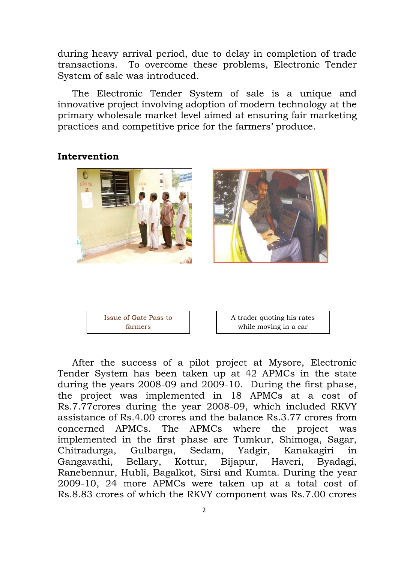during heavy arrival period, due to delay in completion of trade transactions. To overcome these problems, Electronic Tender System of sale was introduced.

The Electronic Tender System of sale is a unique and innovative project involving adoption of modern technology at the primary wholesale market level aimed at ensuring fair marketing practices and competitive price for the farmers' produce.

## **Intervention**





A trader quoting his rates while moving in a car

After the success of a pilot project at Mysore, Electronic Tender System has been taken up at 42 APMCs in the state during the years 2008-09 and 2009-10. During the first phase, the project was implemented in 18 APMCs at a cost of Rs.7.77crores during the year 2008-09, which included RKVY assistance of Rs.4.00 crores and the balance Rs.3.77 crores from concerned APMCs. The APMCs where the project was implemented in the first phase are Tumkur, Shimoga, Sagar, Chitradurga, Gulbarga, Sedam, Yadgir, Kanakagiri in Gangavathi, Bellary, Kottur, Bijapur, Haveri, Byadagi, Ranebennur, Hubli, Bagalkot, Sirsi and Kumta. During the year 2009-10, 24 more APMCs were taken up at a total cost of Rs.8.83 crores of which the RKVY component was Rs.7.00 crores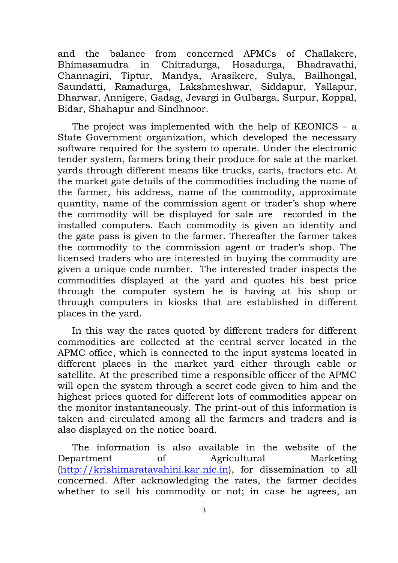and the balance from concerned APMCs of Challakere, Bhimasamudra in Chitradurga, Hosadurga, Bhadravathi, Channagiri, Tiptur, Mandya, Arasikere, Sulya, Bailhongal, Saundatti, Ramadurga, Lakshmeshwar, Siddapur, Yallapur, Dharwar, Annigere, Gadag, Jevargi in Gulbarga, Surpur, Koppal, Bidar, Shahapur and Sindhnoor.

The project was implemented with the help of KEONICS – a State Government organization, which developed the necessary software required for the system to operate. Under the electronic tender system, farmers bring their produce for sale at the market yards through different means like trucks, carts, tractors etc. At the market gate details of the commodities including the name of the farmer, his address, name of the commodity, approximate quantity, name of the commission agent or trader's shop where the commodity will be displayed for sale are recorded in the installed computers. Each commodity is given an identity and the gate pass is given to the farmer. Thereafter the farmer takes the commodity to the commission agent or trader's shop. The licensed traders who are interested in buying the commodity are given a unique code number. The interested trader inspects the commodities displayed at the yard and quotes his best price through the computer system he is having at his shop or through computers in kiosks that are established in different places in the yard.

In this way the rates quoted by different traders for different commodities are collected at the central server located in the APMC office, which is connected to the input systems located in different places in the market yard either through cable or satellite. At the prescribed time a responsible officer of the APMC will open the system through a secret code given to him and the highest prices quoted for different lots of commodities appear on the monitor instantaneously. The print-out of this information is taken and circulated among all the farmers and traders and is also displayed on the notice board.

The information is also available in the website of the Department of Agricultural Marketing [\(http://krishimaratavahini.kar.nic.in\)](http://krishimaratavahini.kar.nic.in/), for dissemination to all concerned. After acknowledging the rates, the farmer decides whether to sell his commodity or not; in case he agrees, an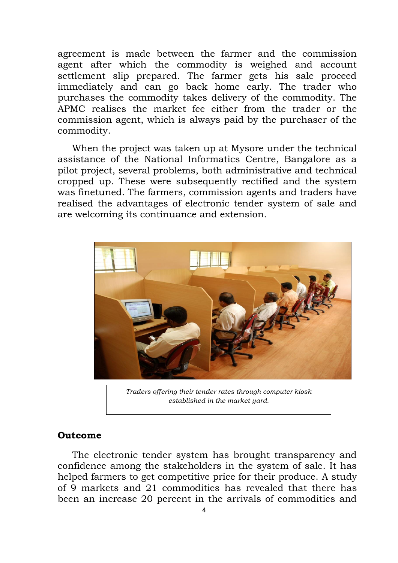agreement is made between the farmer and the commission agent after which the commodity is weighed and account settlement slip prepared. The farmer gets his sale proceed immediately and can go back home early. The trader who purchases the commodity takes delivery of the commodity. The APMC realises the market fee either from the trader or the commission agent, which is always paid by the purchaser of the commodity.

When the project was taken up at Mysore under the technical assistance of the National Informatics Centre, Bangalore as a pilot project, several problems, both administrative and technical cropped up. These were subsequently rectified and the system was finetuned. The farmers, commission agents and traders have realised the advantages of electronic tender system of sale and are welcoming its continuance and extension.



*Traders offering their tender rates through computer kiosk established in the market yard.*

## **Outcome**

The electronic tender system has brought transparency and confidence among the stakeholders in the system of sale. It has helped farmers to get competitive price for their produce. A study of 9 markets and 21 commodities has revealed that there has been an increase 20 percent in the arrivals of commodities and